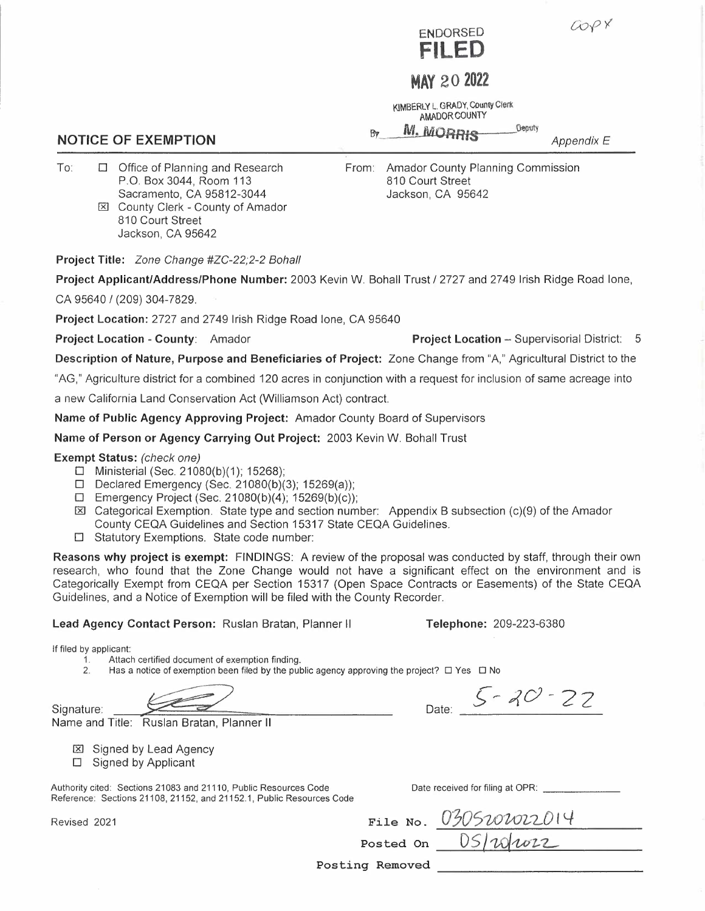



# **MAY 20 <sup>2022</sup>**

**KIMBERLY** L. **GRADY, County CferK AMADOR COUNTY** 

*M. MORRIS* Deputy **By** 

*Appendix E* 

To: □ Office of Planning and Research P.O. Box 3044, Room 113 Sacramento, CA 95812-3044 From: Amador County Planning Commission 810 Court Street Jackson, CA 95642

**Project Title:** *Zone Change #ZC-22;2-2 Bohall* 

810 Court Street Jackson, CA 95642

[RI County Clerk - County of Amador

**Project Applicant/Address/Phone Number:** 2003 Kevin W. Bohall Trust/ 2727 and 2749 Irish Ridge Road lone,

CA 95640 *I* (209) 304-7829.

**Project Location:** 2727 and 2749 Irish Ridge Road lone, CA 95640

**Project Location - County: Amador <b>Project Location - Supervisorial District: 5** 

**Description of Nature, Purpose and Beneficiaries of Project:** Zone Change from "A," Agricultural District to the

"AG," Agriculture district for a combined 120 acres in conjunction with a request for inclusion of same acreage into

a new California Land Conservation Act (Williamson Act) contract.

**Name of Public Agency Approving Project:** Amador County Board of Supervisors

**Name of Person or Agency Carrying Out Project:** 2003 Kevin W. Bohall Trust

**Exempt Status:** *(check one)* 

- □ Ministerial (Sec. 21080(b)(1); 15268);
- □ Declared Emergency (Sec. 21080(b)(3); 15269(a));
- □ Emergency Project (Sec. 21080(b)(4); 15269(b)(c));
- $\boxtimes$  Categorical Exemption. State type and section number: Appendix B subsection (c)(9) of the Amador County CEQA Guidelines and Section 15317 State CEQA Guidelines.
- □ Statutory Exemptions. State code number:

**Reasons why project is exempt:** FINDINGS: A review of the proposal was conducted by staff, through their own research, who found that the Zone Change would not have a significant effect on the environment and is Categorically Exempt from CEQA per Section 15317 (Open Space Contracts or Easements) of the State CEQA Guidelines, and a Notice of Exemption will be filed with the County Recorder.

**Lead Agency Contact Person:** Ruslan Bratan, Planner II **Telephone:** 209-223-6380

If filed by applicant:

1. Attach certified document of exemption finding.<br>2. Has a notice of exemption been filed by the pul

Has a notice of exemption been filed by the public agency approving the project? □ Yes □ No

Signature:

Revised 2021

Name and Title: Ruslan Bratan, Planner II

- **[区]** Signed by Lead Agency
- □ Signed by Applicant

Authority cited: Sections 21083 and 21110, Public Resources Code Reference: Sections 21108, 21152, and 21152.1, Public Resources Code Date received for filing at OPR:

**File No. Posted On** 

Date:

Posting Removed

**NOTICE OF EXEMPTION**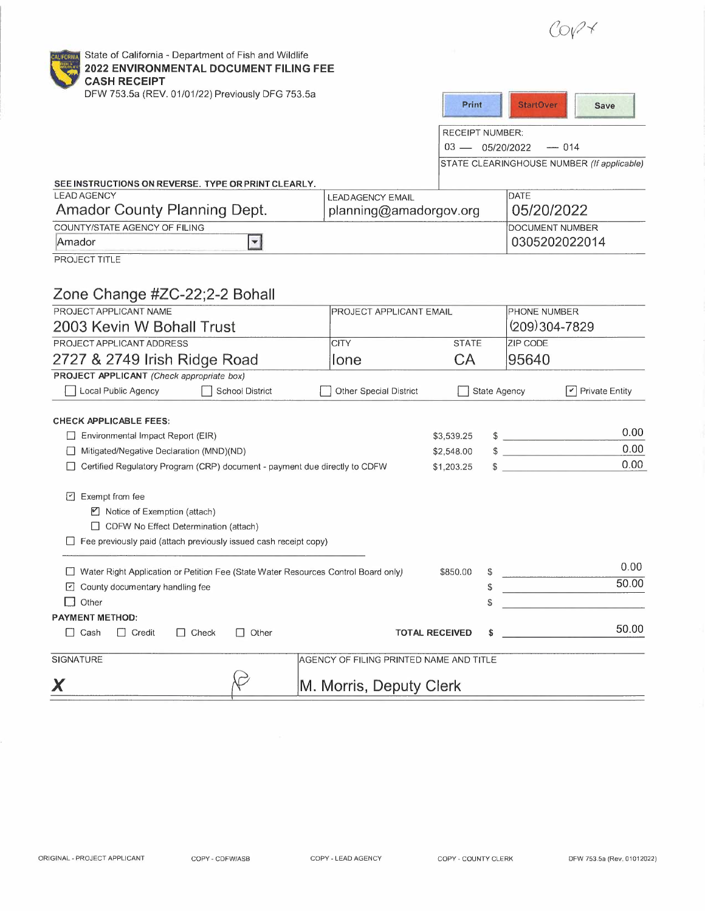$COPY$ 



State of California - Department of Fish and Wildlife **2022 ENVIRONMENTAL DOCUMENT FILING FEE CASH RECEIPT** 

| UMJN NEUEIL I<br>DFW 753.5a (REV. 01/01/22) Previously DFG 753.5a                                                                   |                                         |                       |              |                                            |  |
|-------------------------------------------------------------------------------------------------------------------------------------|-----------------------------------------|-----------------------|--------------|--------------------------------------------|--|
|                                                                                                                                     |                                         | Print                 |              | <b>StartOver</b><br>Save                   |  |
|                                                                                                                                     |                                         | RECEIPT NUMBER:       |              |                                            |  |
|                                                                                                                                     | $03 - 05/20/2022$                       |                       |              | $- 014$                                    |  |
|                                                                                                                                     |                                         |                       |              | STATE CLEARINGHOUSE NUMBER (If applicable) |  |
| SEE INSTRUCTIONS ON REVERSE. TYPE OR PRINT CLEARLY,                                                                                 |                                         |                       |              |                                            |  |
| <b>LEAD AGENCY</b>                                                                                                                  | <b>LEADAGENCY EMAIL</b>                 |                       |              | DATE                                       |  |
| Amador County Planning Dept.                                                                                                        | planning@amadorgov.org                  |                       |              | 05/20/2022                                 |  |
| COUNTY/STATE AGENCY OF FILING                                                                                                       |                                         |                       |              | DOCUMENT NUMBER                            |  |
| $\vert \mathbf{r} \vert$<br>Amador                                                                                                  |                                         |                       |              | 0305202022014                              |  |
| PROJECT TITLE                                                                                                                       |                                         |                       |              |                                            |  |
|                                                                                                                                     |                                         |                       |              |                                            |  |
| Zone Change #ZC-22;2-2 Bohall                                                                                                       |                                         |                       |              |                                            |  |
| PROJECT APPLICANT NAME<br>PROJECT APPLICANT EMAIL                                                                                   |                                         |                       |              | PHONE NUMBER                               |  |
| 2003 Kevin W Bohall Trust                                                                                                           |                                         |                       |              | $(209)304 - 7829$                          |  |
| PROJECT APPLICANT ADDRESS                                                                                                           | <b>CITY</b>                             | <b>STATE</b>          |              | <b>ZIP CODE</b>                            |  |
| 2727 & 2749 Irish Ridge Road                                                                                                        | <b>Ione</b>                             | CA                    |              | 95640                                      |  |
| PROJECT APPLICANT (Check appropriate box)                                                                                           |                                         |                       |              |                                            |  |
| Local Public Agency<br>School District                                                                                              | <b>Other Special District</b>           |                       | State Agency | $\triangledown$ Private Entity             |  |
|                                                                                                                                     |                                         |                       |              |                                            |  |
| <b>CHECK APPLICABLE FEES:</b>                                                                                                       |                                         |                       |              |                                            |  |
| Environmental Impact Report (EIR)                                                                                                   |                                         | \$3,539.25            |              | 0.00<br>$\frac{1}{2}$                      |  |
| Mitigated/Negative Declaration (MND)(ND)<br>ப                                                                                       |                                         | \$2,548.00            |              | 0.00<br>$\sim$                             |  |
| Certified Regulatory Program (CRP) document - payment due directly to CDFW                                                          |                                         | \$1,203.25            |              | 0.00                                       |  |
|                                                                                                                                     |                                         |                       |              |                                            |  |
| $\Box$ Exempt from fee                                                                                                              |                                         |                       |              |                                            |  |
| ■ Notice of Exemption (attach)<br>CDFW No Effect Determination (attach)                                                             |                                         |                       |              |                                            |  |
| $\Box$ Fee previously paid (attach previously issued cash receipt copy)                                                             |                                         |                       |              |                                            |  |
|                                                                                                                                     |                                         |                       |              |                                            |  |
| Water Right Application or Petition Fee (State Water Resources Control Board only)<br>\$850.00<br>□ County documentary handling fee |                                         |                       | \$           | 0.00                                       |  |
|                                                                                                                                     |                                         |                       | S            | 50.00                                      |  |
| $\Box$ Other                                                                                                                        |                                         |                       | \$           |                                            |  |
| <b>PAYMENT METHOD:</b>                                                                                                              |                                         |                       |              |                                            |  |
| $\Box$ Other<br>$\Box$ Cash<br>$\Box$ Credit<br>$\Box$ Check                                                                        |                                         | <b>TOTAL RECEIVED</b> | \$           | 50.00                                      |  |
| SIGNATURE                                                                                                                           | AGENCY OF FILING PRINTED NAME AND TITLE |                       |              |                                            |  |
| X                                                                                                                                   | M. Morris, Deputy Clerk                 |                       |              |                                            |  |
|                                                                                                                                     |                                         |                       |              |                                            |  |